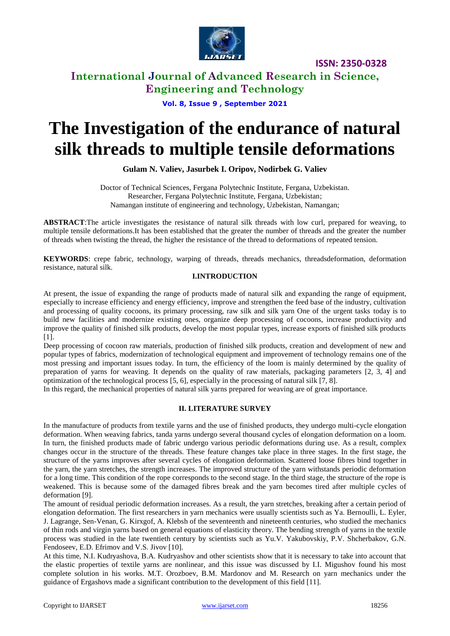

## **International Journal of Advanced Research in Science, Engineering and Technology**

### **Vol. 8, Issue 9 , September 2021**

# **The Investigation of the endurance of natural silk threads to multiple tensile deformations**

**Gulam N. Valiev, Jasurbek I. Oripov, Nodirbek G. Valiev**

Doctor of Technical Sciences, Fergana Polytechnic Institute, Fergana, Uzbekistan. Researcher, Fergana Polytechnic Institute, Fergana, Uzbekistan; Namangan institute of engineering and technology, Uzbekistan, Namangan;

**ABSTRACT**:The article investigates the resistance of natural silk threads with low curl, prepared for weaving, to multiple tensile deformations.It has been established that the greater the number of threads and the greater the number of threads when twisting the thread, the higher the resistance of the thread to deformations of repeated tension.

**KEYWORDS**: crepe fabric, technology, warping of threads, threads mechanics, threadsdeformation, deformation resistance, natural silk.

### **I.INTRODUCTION**

At present, the issue of expanding the range of products made of natural silk and expanding the range of equipment, especially to increase efficiency and energy efficiency, improve and strengthen the feed base of the industry, cultivation and processing of quality cocoons, its primary processing, raw silk and silk yarn One of the urgent tasks today is to build new facilities and modernize existing ones, organize deep processing of cocoons, increase productivity and improve the quality of finished silk products, develop the most popular types, increase exports of finished silk products [1].

Deep processing of cocoon raw materials, production of finished silk products, creation and development of new and popular types of fabrics, modernization of technological equipment and improvement of technology remains one of the most pressing and important issues today. In turn, the efficiency of the loom is mainly determined by the quality of preparation of yarns for weaving. It depends on the quality of raw materials, packaging parameters [2, 3, 4] and optimization of the technological process [5, 6], especially in the processing of natural silk [7, 8].

In this regard, the mechanical properties of natural silk yarns prepared for weaving are of great importance.

### **II. LITERATURE SURVEY**

In the manufacture of products from textile yarns and the use of finished products, they undergo multi-cycle elongation deformation. When weaving fabrics, tanda yarns undergo several thousand cycles of elongation deformation on a loom. In turn, the finished products made of fabric undergo various periodic deformations during use. As a result, complex changes occur in the structure of the threads. These feature changes take place in three stages. In the first stage, the structure of the yarns improves after several cycles of elongation deformation. Scattered loose fibres bind together in the yarn, the yarn stretches, the strength increases. The improved structure of the yarn withstands periodic deformation for a long time. This condition of the rope corresponds to the second stage. In the third stage, the structure of the rope is weakened. This is because some of the damaged fibres break and the yarn becomes tired after multiple cycles of deformation [9].

The amount of residual periodic deformation increases. As a result, the yarn stretches, breaking after a certain period of elongation deformation. The first researchers in yarn mechanics were usually scientists such as Ya. Bernoulli, L. Eyler, J. Lagrange, Sen-Venan, G. Kirxgof, A. Klebsh of the seventeenth and nineteenth centuries, who studied the mechanics of thin rods and virgin yarns based on general equations of elasticity theory. The bending strength of yarns in the textile process was studied in the late twentieth century by scientists such as Yu.V. Yakubovskiy, P.V. Shcherbakov, G.N. Fendoseev, E.D. Efrimov and V.S. Jivov [10].

At this time, N.I. Kudryashova, B.A. Kudryashov and other scientists show that it is necessary to take into account that the elastic properties of textile yarns are nonlinear, and this issue was discussed by I.I. Migushov found his most complete solution in his works. M.T. Orozboev, B.M. Mardonov and M. Research on yarn mechanics under the guidance of Ergashovs made a significant contribution to the development of this field [11].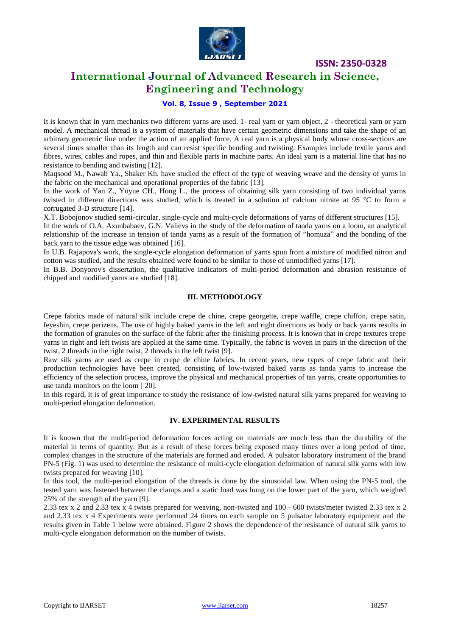

## **International Journal of Advanced Research in Science, Engineering and Technology**

### **Vol. 8, Issue 9 , September 2021**

It is known that in yarn mechanics two different yarns are used. 1- real yarn or yarn object, 2 - theoretical yarn or yarn model. A mechanical thread is a system of materials that have certain geometric dimensions and take the shape of an arbitrary geometric line under the action of an applied force. A real yarn is a physical body whose cross-sections are several times smaller than its length and can resist specific bending and twisting. Examples include textile yarns and fibres, wires, cables and ropes, and thin and flexible parts in machine parts. An ideal yarn is a material line that has no resistance to bending and twisting [12].

Maqsood M., Nawab Ya., Shaker Kh. have studied the effect of the type of weaving weave and the density of yarns in the fabric on the mechanical and operational properties of the fabric [13].

In the work of Yan Z., Yuyue CH., Hong L., the process of obtaining silk yarn consisting of two individual yarns twisted in different directions was studied, which is treated in a solution of calcium nitrate at 95 °C to form a corrugated 3-D structure [14].

X.T. Bobojonov studied semi-circular, single-cycle and multi-cycle deformations of yarns of different structures [15].

In the work of O.A. Axunbabaev, G.N. Valievs in the study of the deformation of tanda yarns on a loom, an analytical relationship of the increase in tension of tanda yarns as a result of the formation of "homuza" and the bonding of the back yarn to the tissue edge was obtained [16].

In U.B. Rajapova's work, the single-cycle elongation deformation of yarns spun from a mixture of modified nitron and cotton was studied, and the results obtained were found to be similar to those of unmodified yarns [17].

In B.B. Donyorov's dissertation, the qualitative indicators of multi-period deformation and abrasion resistance of chipped and modified yarns are studied [18].

### **III. METHODOLOGY**

Crepe fabrics made of natural silk include crepe de chine, crepe georgette, crepe waffle, crepe chiffon, crepe satin, feyeshin, crepe perizens. The use of highly baked yarns in the left and right directions as body or back yarns results in the formation of granules on the surface of the fabric after the finishing process. It is known that in crepe textures crepe yarns in right and left twists are applied at the same time. Typically, the fabric is woven in pairs in the direction of the twist, 2 threads in the right twist, 2 threads in the left twist [9].

Raw silk yarns are used as crepe in crepe de chine fabrics. In recent years, new types of crepe fabric and their production technologies have been created, consisting of low-twisted baked yarns as tanda yarns to increase the efficiency of the selection process, improve the physical and mechanical properties of tan yarns, create opportunities to use tanda monitors on the loom [ 20].

In this regard, it is of great importance to study the resistance of low-twisted natural silk yarns prepared for weaving to multi-period elongation deformation.

### **IV. EXPERIMENTAL RESULTS**

It is known that the multi-period deformation forces acting on materials are much less than the durability of the material in terms of quantity. But as a result of these forces being exposed many times over a long period of time, complex changes in the structure of the materials are formed and eroded. A pulsator laboratory instrument of the brand PN-5 (Fig. 1) was used to determine the resistance of multi-cycle elongation deformation of natural silk yarns with low twists prepared for weaving [10].

In this tool, the multi-period elongation of the threads is done by the sinusoidal law. When using the PN-5 tool, the tested yarn was fastened between the clamps and a static load was hung on the lower part of the yarn, which weighed 25% of the strength of the yarn [9].

2.33 tex x 2 and 2.33 tex x 4 twists prepared for weaving, non-twisted and 100 - 600 twists/meter twisted 2.33 tex x 2 and 2.33 tex x 4 Experiments were performed 24 times on each sample on 5 pulsator laboratory equipment and the results given in Table 1 below were obtained. Figure 2 shows the dependence of the resistance of natural silk yarns to multi-cycle elongation deformation on the number of twists.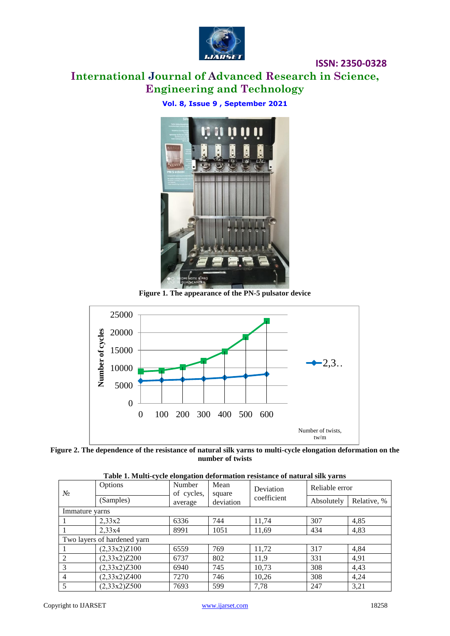

# **International Journal of Advanced Research in Science, Engineering and Technology**

**Vol. 8, Issue 9 , September 2021**



**Figure 1. The appearance of the PN-5 pulsator device**





| Tuoit II Baun Cycle clongunon uerorinumon residuntee of human urbini yurno |              |                      |                |                          |                |             |  |  |  |  |
|----------------------------------------------------------------------------|--------------|----------------------|----------------|--------------------------|----------------|-------------|--|--|--|--|
| $N_2$                                                                      | Options      | Number<br>of cycles, | Mean<br>square | Deviation<br>coefficient | Reliable error |             |  |  |  |  |
|                                                                            | (Samples)    | average              | deviation      |                          | Absolutely     | Relative, % |  |  |  |  |
| Immature yarns                                                             |              |                      |                |                          |                |             |  |  |  |  |
|                                                                            | 2,33x2       | 6336                 | 744            | 11.74                    | 307            | 4,85        |  |  |  |  |
|                                                                            | 2,33x4       | 8991                 | 1051           | 11,69                    | 434            | 4,83        |  |  |  |  |
| Two layers of hardened yarn                                                |              |                      |                |                          |                |             |  |  |  |  |
|                                                                            | (2,33x2)Z100 | 6559                 | 769            | 11,72                    | 317            | 4,84        |  |  |  |  |
| 2                                                                          | (2,33x2)Z200 | 6737                 | 802            | 11,9                     | 331            | 4,91        |  |  |  |  |
| 3                                                                          | (2,33x2)Z300 | 6940                 | 745            | 10,73                    | 308            | 4,43        |  |  |  |  |
| $\overline{4}$                                                             | (2,33x2)Z400 | 7270                 | 746            | 10,26                    | 308            | 4,24        |  |  |  |  |
| 5                                                                          | (2,33x2)Z500 | 7693                 | 599            | 7,78                     | 247            | 3,21        |  |  |  |  |

| Table 1. Multi-cycle elongation deformation resistance of natural silk yarns |  |
|------------------------------------------------------------------------------|--|
|------------------------------------------------------------------------------|--|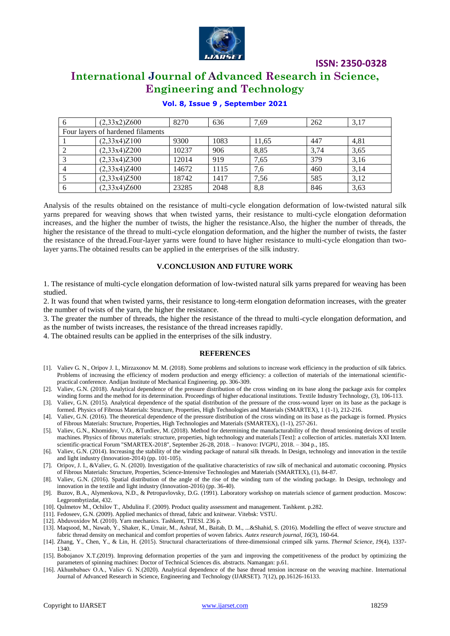

# **International Journal of Advanced Research in Science, Engineering and Technology**

| 6                                 | (2,33x2)Z600 | 8270  | 636  | 7.69  | 262  | 3,17 |  |  |  |  |
|-----------------------------------|--------------|-------|------|-------|------|------|--|--|--|--|
| Four layers of hardened filaments |              |       |      |       |      |      |  |  |  |  |
|                                   | (2,33x4)Z100 | 9300  | 1083 | 11,65 | 447  | 4,81 |  |  |  |  |
|                                   | (2,33x4)Z200 | 10237 | 906  | 8.85  | 3.74 | 3,65 |  |  |  |  |
|                                   | (2,33x4)Z300 | 12014 | 919  | 7,65  | 379  | 3,16 |  |  |  |  |
|                                   | (2,33x4)Z400 | 14672 | 1115 | 7,6   | 460  | 3.14 |  |  |  |  |
|                                   | (2,33x4)Z500 | 18742 | 1417 | 7,56  | 585  | 3,12 |  |  |  |  |
| 6                                 | (2,33x4)Z600 | 23285 | 2048 | 8,8   | 846  | 3,63 |  |  |  |  |

### **Vol. 8, Issue 9 , September 2021**

Analysis of the results obtained on the resistance of multi-cycle elongation deformation of low-twisted natural silk yarns prepared for weaving shows that when twisted yarns, their resistance to multi-cycle elongation deformation increases, and the higher the number of twists, the higher the resistance.Also, the higher the number of threads, the higher the resistance of the thread to multi-cycle elongation deformation, and the higher the number of twists, the faster the resistance of the thread.Four-layer yarns were found to have higher resistance to multi-cycle elongation than twolayer yarns.The obtained results can be applied in the enterprises of the silk industry.

#### **V.CONCLUSION AND FUTURE WORK**

1. The resistance of multi-cycle elongation deformation of low-twisted natural silk yarns prepared for weaving has been studied.

2. It was found that when twisted yarns, their resistance to long-term elongation deformation increases, with the greater the number of twists of the yarn, the higher the resistance.

3. The greater the number of threads, the higher the resistance of the thread to multi-cycle elongation deformation, and as the number of twists increases, the resistance of the thread increases rapidly.

4. The obtained results can be applied in the enterprises of the silk industry.

#### **REFERENCES**

- [1]. Valiev G. N., Oripov J. I., Mirzaxonov M. M. (2018). Some problems and solutions to increase work efficiency in the production of silk fabrics. Problems of increasing the efficiency of modern production and energy efficiency: a collection of materials of the international scientificpractical conference. Andijan Institute of Mechanical Engineering. pp. 306-309.
- [2]. Valiev, G.N. (2018). Analytical dependence of the pressure distribution of the cross winding on its base along the package axis for complex winding forms and the method for its determination. Proceedings of higher educational institutions. Textile Industry Technology, (3), 106-113.
- [3]. Valiev, G.N. (2015). Analytical dependence of the spatial distribution of the pressure of the cross-wound layer on its base as the package is formed. Physics of Fibrous Materials: Structure, Properties, High Technologies and Materials (SMARTEX), 1 (1-1), 212-216.
- [4]. Valiev, G.N. (2016). The theoretical dependence of the pressure distribution of the cross winding on its base as the package is formed. Physics of Fibrous Materials: Structure, Properties, High Technologies and Materials (SMARTEX), (1-1), 257-261.
- [5]. Valiev, G.N., Khomidov, V.O., &Turdiev, M. (2018). Method for determining the manufacturability of the thread tensioning devices of textile machines. Physics of fibrous materials: structure, properties, high technology and materials [Text]: a collection of articles. materials XXI Intern. scientific-practical Forum "SMARTEX-2018", September 26-28, 2018. – Ivanovo: IVGPU, 2018. – 304 p., 185.
- [6]. Valiev, G.N. (2014). Increasing the stability of the winding package of natural silk threads. In Design, technology and innovation in the textile and light industry (Innovation-2014) (pp. 101-105).
- [7]. Oripov, J. I., &Valiev, G. N. (2020). Investigation of the qualitative characteristics of raw silk of mechanical and automatic cocooning. Physics of Fibrous Materials: Structure, Properties, Science-Intensive Technologies and Materials (SMARTEX), (1), 84-87.
- [8]. Valiev, G.N. (2016). Spatial distribution of the angle of the rise of the winding turn of the winding package. In Design, technology and innovation in the textile and light industry (Innovation-2016) (pp. 36-40).
- [9]. Buzov, B.A., Alymenkova, N.D., & Petropavlovsky, D.G. (1991). Laboratory workshop on materials science of garment production. Moscow: Legprombytizdat, 432.
- [10]. Qulmetov M., Ochilov T., Abdulina F. (2009). Product quality assessment and management. Tashkent. p.282.
- [11]. Fedoseev, G.N. (2009). Applied mechanics of thread, fabric and knitwear. Vitebsk: VSTU.
- [12]. Abduvoxidov M. (2010). Yarn mechanics. Tashkent, TTESI. 236 p.
- [13]. Maqsood, M., Nawab, Y., Shaker, K., Umair, M., Ashraf, M., Baitab, D. M., ...&Shahid, S. (2016). Modelling the effect of weave structure and fabric thread density on mechanical and comfort properties of woven fabrics. *Autex research journal*, *16*(3), 160-64.
- [14]. Zhang, Y., Chen, Y., & Lin, H. (2015). Structural characterizations of three-dimensional crimped silk yarns. *Thermal Science*, *19*(4), 1337- 1340.
- [15]. Bobojanov X.T.(2019). Improving deformation properties of the yarn and improving the competitiveness of the product by optimizing the parameters of spinning machines: Doctor of Technical Sciences dis. abstracts. Namangan: p.61.
- [16]. Akhunbabaev O.A., Valiev G. N.(2020). Analytical dependence of the base thread tension increase on the weaving machine. International Journal of Advanced Research in Science, Engineering and Technology (IJARSET). 7(12), pp.16126-16133.